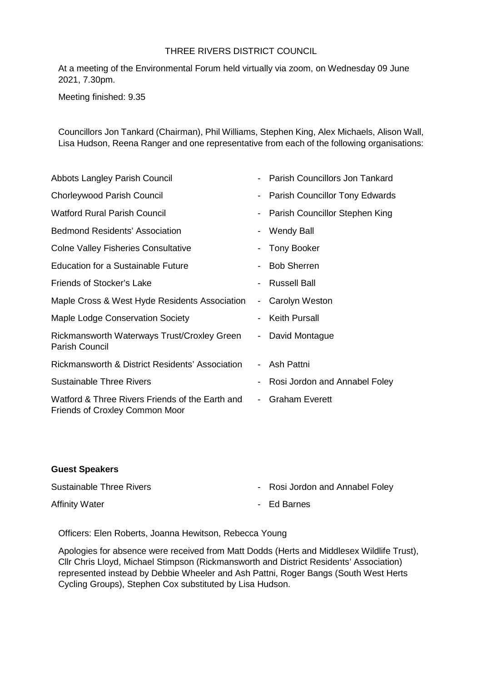## THREE RIVERS DISTRICT COUNCIL

At a meeting of the Environmental Forum held virtually via zoom, on Wednesday 09 June 2021, 7.30pm.

Meeting finished: 9.35

Councillors Jon Tankard (Chairman), Phil Williams, Stephen King, Alex Michaels, Alison Wall, Lisa Hudson, Reena Ranger and one representative from each of the following organisations:

| Abbots Langley Parish Council                                                            | $\blacksquare$           | <b>Parish Councillors Jon Tankard</b> |
|------------------------------------------------------------------------------------------|--------------------------|---------------------------------------|
| <b>Chorleywood Parish Council</b>                                                        | $\blacksquare$           | Parish Councillor Tony Edwards        |
| <b>Watford Rural Parish Council</b>                                                      |                          | Parish Councillor Stephen King        |
| <b>Bedmond Residents' Association</b>                                                    | -                        | <b>Wendy Ball</b>                     |
| <b>Colne Valley Fisheries Consultative</b>                                               | $\overline{\phantom{a}}$ | <b>Tony Booker</b>                    |
| <b>Education for a Sustainable Future</b>                                                | $\overline{\phantom{0}}$ | <b>Bob Sherren</b>                    |
| Friends of Stocker's Lake                                                                | $\overline{\phantom{a}}$ | <b>Russell Ball</b>                   |
| Maple Cross & West Hyde Residents Association                                            | $\blacksquare$           | Carolyn Weston                        |
| Maple Lodge Conservation Society                                                         | $\overline{\phantom{a}}$ | <b>Keith Pursall</b>                  |
| Rickmansworth Waterways Trust/Croxley Green<br><b>Parish Council</b>                     | $\blacksquare$           | David Montague                        |
| Rickmansworth & District Residents' Association                                          | $\overline{\phantom{0}}$ | Ash Pattni                            |
| <b>Sustainable Three Rivers</b>                                                          | $\overline{\phantom{a}}$ | Rosi Jordon and Annabel Foley         |
| Watford & Three Rivers Friends of the Earth and<br><b>Friends of Croxley Common Moor</b> | $\sim$                   | <b>Graham Everett</b>                 |

### **Guest Speakers**

| <b>Sustainable Three Rivers</b> | - Rosi Jordon and Annabel Foley |
|---------------------------------|---------------------------------|
| <b>Affinity Water</b>           | - Ed Barnes                     |

Officers: Elen Roberts, Joanna Hewitson, Rebecca Young

Apologies for absence were received from Matt Dodds (Herts and Middlesex Wildlife Trust), Cllr Chris Lloyd, Michael Stimpson (Rickmansworth and District Residents' Association) represented instead by Debbie Wheeler and Ash Pattni, Roger Bangs (South West Herts Cycling Groups), Stephen Cox substituted by Lisa Hudson.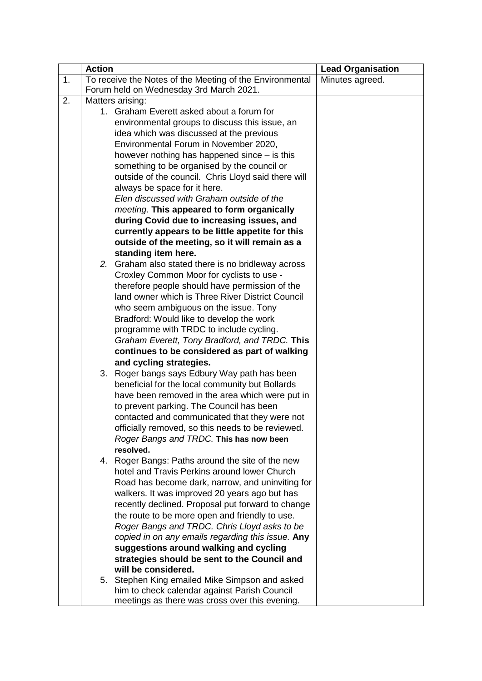| 1.<br>To receive the Notes of the Meeting of the Environmental<br>Minutes agreed.<br>Forum held on Wednesday 3rd March 2021.<br>Matters arising:<br>2.<br>1. Graham Everett asked about a forum for<br>environmental groups to discuss this issue, an<br>idea which was discussed at the previous<br>Environmental Forum in November 2020,<br>however nothing has happened since $-$ is this<br>something to be organised by the council or<br>outside of the council. Chris Lloyd said there will<br>always be space for it here.<br>Elen discussed with Graham outside of the<br>meeting. This appeared to form organically<br>during Covid due to increasing issues, and<br>currently appears to be little appetite for this<br>outside of the meeting, so it will remain as a<br>standing item here.<br>2. Graham also stated there is no bridleway across<br>Croxley Common Moor for cyclists to use -<br>therefore people should have permission of the<br>land owner which is Three River District Council<br>who seem ambiguous on the issue. Tony<br>Bradford: Would like to develop the work<br>programme with TRDC to include cycling.<br>Graham Everett, Tony Bradford, and TRDC. This<br>continues to be considered as part of walking<br>and cycling strategies.<br>3. Roger bangs says Edbury Way path has been<br>beneficial for the local community but Bollards<br>have been removed in the area which were put in<br>to prevent parking. The Council has been<br>contacted and communicated that they were not<br>officially removed, so this needs to be reviewed.<br>Roger Bangs and TRDC. This has now been<br>resolved.<br>4. Roger Bangs: Paths around the site of the new<br>hotel and Travis Perkins around lower Church<br>Road has become dark, narrow, and uninviting for<br>walkers. It was improved 20 years ago but has<br>recently declined. Proposal put forward to change<br>the route to be more open and friendly to use.<br>Roger Bangs and TRDC. Chris Lloyd asks to be | <b>Action</b> | <b>Lead Organisation</b> |
|----------------------------------------------------------------------------------------------------------------------------------------------------------------------------------------------------------------------------------------------------------------------------------------------------------------------------------------------------------------------------------------------------------------------------------------------------------------------------------------------------------------------------------------------------------------------------------------------------------------------------------------------------------------------------------------------------------------------------------------------------------------------------------------------------------------------------------------------------------------------------------------------------------------------------------------------------------------------------------------------------------------------------------------------------------------------------------------------------------------------------------------------------------------------------------------------------------------------------------------------------------------------------------------------------------------------------------------------------------------------------------------------------------------------------------------------------------------------------------------------------------------------------------------------------------------------------------------------------------------------------------------------------------------------------------------------------------------------------------------------------------------------------------------------------------------------------------------------------------------------------------------------------------------------------------------------------------------------------------------------------------------|---------------|--------------------------|
|                                                                                                                                                                                                                                                                                                                                                                                                                                                                                                                                                                                                                                                                                                                                                                                                                                                                                                                                                                                                                                                                                                                                                                                                                                                                                                                                                                                                                                                                                                                                                                                                                                                                                                                                                                                                                                                                                                                                                                                                                |               |                          |
|                                                                                                                                                                                                                                                                                                                                                                                                                                                                                                                                                                                                                                                                                                                                                                                                                                                                                                                                                                                                                                                                                                                                                                                                                                                                                                                                                                                                                                                                                                                                                                                                                                                                                                                                                                                                                                                                                                                                                                                                                |               |                          |
|                                                                                                                                                                                                                                                                                                                                                                                                                                                                                                                                                                                                                                                                                                                                                                                                                                                                                                                                                                                                                                                                                                                                                                                                                                                                                                                                                                                                                                                                                                                                                                                                                                                                                                                                                                                                                                                                                                                                                                                                                |               |                          |
|                                                                                                                                                                                                                                                                                                                                                                                                                                                                                                                                                                                                                                                                                                                                                                                                                                                                                                                                                                                                                                                                                                                                                                                                                                                                                                                                                                                                                                                                                                                                                                                                                                                                                                                                                                                                                                                                                                                                                                                                                |               |                          |
|                                                                                                                                                                                                                                                                                                                                                                                                                                                                                                                                                                                                                                                                                                                                                                                                                                                                                                                                                                                                                                                                                                                                                                                                                                                                                                                                                                                                                                                                                                                                                                                                                                                                                                                                                                                                                                                                                                                                                                                                                |               |                          |
|                                                                                                                                                                                                                                                                                                                                                                                                                                                                                                                                                                                                                                                                                                                                                                                                                                                                                                                                                                                                                                                                                                                                                                                                                                                                                                                                                                                                                                                                                                                                                                                                                                                                                                                                                                                                                                                                                                                                                                                                                |               |                          |
|                                                                                                                                                                                                                                                                                                                                                                                                                                                                                                                                                                                                                                                                                                                                                                                                                                                                                                                                                                                                                                                                                                                                                                                                                                                                                                                                                                                                                                                                                                                                                                                                                                                                                                                                                                                                                                                                                                                                                                                                                |               |                          |
|                                                                                                                                                                                                                                                                                                                                                                                                                                                                                                                                                                                                                                                                                                                                                                                                                                                                                                                                                                                                                                                                                                                                                                                                                                                                                                                                                                                                                                                                                                                                                                                                                                                                                                                                                                                                                                                                                                                                                                                                                |               |                          |
|                                                                                                                                                                                                                                                                                                                                                                                                                                                                                                                                                                                                                                                                                                                                                                                                                                                                                                                                                                                                                                                                                                                                                                                                                                                                                                                                                                                                                                                                                                                                                                                                                                                                                                                                                                                                                                                                                                                                                                                                                |               |                          |
|                                                                                                                                                                                                                                                                                                                                                                                                                                                                                                                                                                                                                                                                                                                                                                                                                                                                                                                                                                                                                                                                                                                                                                                                                                                                                                                                                                                                                                                                                                                                                                                                                                                                                                                                                                                                                                                                                                                                                                                                                |               |                          |
|                                                                                                                                                                                                                                                                                                                                                                                                                                                                                                                                                                                                                                                                                                                                                                                                                                                                                                                                                                                                                                                                                                                                                                                                                                                                                                                                                                                                                                                                                                                                                                                                                                                                                                                                                                                                                                                                                                                                                                                                                |               |                          |
|                                                                                                                                                                                                                                                                                                                                                                                                                                                                                                                                                                                                                                                                                                                                                                                                                                                                                                                                                                                                                                                                                                                                                                                                                                                                                                                                                                                                                                                                                                                                                                                                                                                                                                                                                                                                                                                                                                                                                                                                                |               |                          |
|                                                                                                                                                                                                                                                                                                                                                                                                                                                                                                                                                                                                                                                                                                                                                                                                                                                                                                                                                                                                                                                                                                                                                                                                                                                                                                                                                                                                                                                                                                                                                                                                                                                                                                                                                                                                                                                                                                                                                                                                                |               |                          |
|                                                                                                                                                                                                                                                                                                                                                                                                                                                                                                                                                                                                                                                                                                                                                                                                                                                                                                                                                                                                                                                                                                                                                                                                                                                                                                                                                                                                                                                                                                                                                                                                                                                                                                                                                                                                                                                                                                                                                                                                                |               |                          |
|                                                                                                                                                                                                                                                                                                                                                                                                                                                                                                                                                                                                                                                                                                                                                                                                                                                                                                                                                                                                                                                                                                                                                                                                                                                                                                                                                                                                                                                                                                                                                                                                                                                                                                                                                                                                                                                                                                                                                                                                                |               |                          |
|                                                                                                                                                                                                                                                                                                                                                                                                                                                                                                                                                                                                                                                                                                                                                                                                                                                                                                                                                                                                                                                                                                                                                                                                                                                                                                                                                                                                                                                                                                                                                                                                                                                                                                                                                                                                                                                                                                                                                                                                                |               |                          |
|                                                                                                                                                                                                                                                                                                                                                                                                                                                                                                                                                                                                                                                                                                                                                                                                                                                                                                                                                                                                                                                                                                                                                                                                                                                                                                                                                                                                                                                                                                                                                                                                                                                                                                                                                                                                                                                                                                                                                                                                                |               |                          |
|                                                                                                                                                                                                                                                                                                                                                                                                                                                                                                                                                                                                                                                                                                                                                                                                                                                                                                                                                                                                                                                                                                                                                                                                                                                                                                                                                                                                                                                                                                                                                                                                                                                                                                                                                                                                                                                                                                                                                                                                                |               |                          |
|                                                                                                                                                                                                                                                                                                                                                                                                                                                                                                                                                                                                                                                                                                                                                                                                                                                                                                                                                                                                                                                                                                                                                                                                                                                                                                                                                                                                                                                                                                                                                                                                                                                                                                                                                                                                                                                                                                                                                                                                                |               |                          |
|                                                                                                                                                                                                                                                                                                                                                                                                                                                                                                                                                                                                                                                                                                                                                                                                                                                                                                                                                                                                                                                                                                                                                                                                                                                                                                                                                                                                                                                                                                                                                                                                                                                                                                                                                                                                                                                                                                                                                                                                                |               |                          |
|                                                                                                                                                                                                                                                                                                                                                                                                                                                                                                                                                                                                                                                                                                                                                                                                                                                                                                                                                                                                                                                                                                                                                                                                                                                                                                                                                                                                                                                                                                                                                                                                                                                                                                                                                                                                                                                                                                                                                                                                                |               |                          |
|                                                                                                                                                                                                                                                                                                                                                                                                                                                                                                                                                                                                                                                                                                                                                                                                                                                                                                                                                                                                                                                                                                                                                                                                                                                                                                                                                                                                                                                                                                                                                                                                                                                                                                                                                                                                                                                                                                                                                                                                                |               |                          |
|                                                                                                                                                                                                                                                                                                                                                                                                                                                                                                                                                                                                                                                                                                                                                                                                                                                                                                                                                                                                                                                                                                                                                                                                                                                                                                                                                                                                                                                                                                                                                                                                                                                                                                                                                                                                                                                                                                                                                                                                                |               |                          |
|                                                                                                                                                                                                                                                                                                                                                                                                                                                                                                                                                                                                                                                                                                                                                                                                                                                                                                                                                                                                                                                                                                                                                                                                                                                                                                                                                                                                                                                                                                                                                                                                                                                                                                                                                                                                                                                                                                                                                                                                                |               |                          |
|                                                                                                                                                                                                                                                                                                                                                                                                                                                                                                                                                                                                                                                                                                                                                                                                                                                                                                                                                                                                                                                                                                                                                                                                                                                                                                                                                                                                                                                                                                                                                                                                                                                                                                                                                                                                                                                                                                                                                                                                                |               |                          |
|                                                                                                                                                                                                                                                                                                                                                                                                                                                                                                                                                                                                                                                                                                                                                                                                                                                                                                                                                                                                                                                                                                                                                                                                                                                                                                                                                                                                                                                                                                                                                                                                                                                                                                                                                                                                                                                                                                                                                                                                                |               |                          |
|                                                                                                                                                                                                                                                                                                                                                                                                                                                                                                                                                                                                                                                                                                                                                                                                                                                                                                                                                                                                                                                                                                                                                                                                                                                                                                                                                                                                                                                                                                                                                                                                                                                                                                                                                                                                                                                                                                                                                                                                                |               |                          |
|                                                                                                                                                                                                                                                                                                                                                                                                                                                                                                                                                                                                                                                                                                                                                                                                                                                                                                                                                                                                                                                                                                                                                                                                                                                                                                                                                                                                                                                                                                                                                                                                                                                                                                                                                                                                                                                                                                                                                                                                                |               |                          |
|                                                                                                                                                                                                                                                                                                                                                                                                                                                                                                                                                                                                                                                                                                                                                                                                                                                                                                                                                                                                                                                                                                                                                                                                                                                                                                                                                                                                                                                                                                                                                                                                                                                                                                                                                                                                                                                                                                                                                                                                                |               |                          |
|                                                                                                                                                                                                                                                                                                                                                                                                                                                                                                                                                                                                                                                                                                                                                                                                                                                                                                                                                                                                                                                                                                                                                                                                                                                                                                                                                                                                                                                                                                                                                                                                                                                                                                                                                                                                                                                                                                                                                                                                                |               |                          |
|                                                                                                                                                                                                                                                                                                                                                                                                                                                                                                                                                                                                                                                                                                                                                                                                                                                                                                                                                                                                                                                                                                                                                                                                                                                                                                                                                                                                                                                                                                                                                                                                                                                                                                                                                                                                                                                                                                                                                                                                                |               |                          |
|                                                                                                                                                                                                                                                                                                                                                                                                                                                                                                                                                                                                                                                                                                                                                                                                                                                                                                                                                                                                                                                                                                                                                                                                                                                                                                                                                                                                                                                                                                                                                                                                                                                                                                                                                                                                                                                                                                                                                                                                                |               |                          |
|                                                                                                                                                                                                                                                                                                                                                                                                                                                                                                                                                                                                                                                                                                                                                                                                                                                                                                                                                                                                                                                                                                                                                                                                                                                                                                                                                                                                                                                                                                                                                                                                                                                                                                                                                                                                                                                                                                                                                                                                                |               |                          |
|                                                                                                                                                                                                                                                                                                                                                                                                                                                                                                                                                                                                                                                                                                                                                                                                                                                                                                                                                                                                                                                                                                                                                                                                                                                                                                                                                                                                                                                                                                                                                                                                                                                                                                                                                                                                                                                                                                                                                                                                                |               |                          |
|                                                                                                                                                                                                                                                                                                                                                                                                                                                                                                                                                                                                                                                                                                                                                                                                                                                                                                                                                                                                                                                                                                                                                                                                                                                                                                                                                                                                                                                                                                                                                                                                                                                                                                                                                                                                                                                                                                                                                                                                                |               |                          |
|                                                                                                                                                                                                                                                                                                                                                                                                                                                                                                                                                                                                                                                                                                                                                                                                                                                                                                                                                                                                                                                                                                                                                                                                                                                                                                                                                                                                                                                                                                                                                                                                                                                                                                                                                                                                                                                                                                                                                                                                                |               |                          |
|                                                                                                                                                                                                                                                                                                                                                                                                                                                                                                                                                                                                                                                                                                                                                                                                                                                                                                                                                                                                                                                                                                                                                                                                                                                                                                                                                                                                                                                                                                                                                                                                                                                                                                                                                                                                                                                                                                                                                                                                                |               |                          |
|                                                                                                                                                                                                                                                                                                                                                                                                                                                                                                                                                                                                                                                                                                                                                                                                                                                                                                                                                                                                                                                                                                                                                                                                                                                                                                                                                                                                                                                                                                                                                                                                                                                                                                                                                                                                                                                                                                                                                                                                                |               |                          |
|                                                                                                                                                                                                                                                                                                                                                                                                                                                                                                                                                                                                                                                                                                                                                                                                                                                                                                                                                                                                                                                                                                                                                                                                                                                                                                                                                                                                                                                                                                                                                                                                                                                                                                                                                                                                                                                                                                                                                                                                                |               |                          |
|                                                                                                                                                                                                                                                                                                                                                                                                                                                                                                                                                                                                                                                                                                                                                                                                                                                                                                                                                                                                                                                                                                                                                                                                                                                                                                                                                                                                                                                                                                                                                                                                                                                                                                                                                                                                                                                                                                                                                                                                                |               |                          |
| copied in on any emails regarding this issue. Any                                                                                                                                                                                                                                                                                                                                                                                                                                                                                                                                                                                                                                                                                                                                                                                                                                                                                                                                                                                                                                                                                                                                                                                                                                                                                                                                                                                                                                                                                                                                                                                                                                                                                                                                                                                                                                                                                                                                                              |               |                          |
| suggestions around walking and cycling                                                                                                                                                                                                                                                                                                                                                                                                                                                                                                                                                                                                                                                                                                                                                                                                                                                                                                                                                                                                                                                                                                                                                                                                                                                                                                                                                                                                                                                                                                                                                                                                                                                                                                                                                                                                                                                                                                                                                                         |               |                          |
| strategies should be sent to the Council and                                                                                                                                                                                                                                                                                                                                                                                                                                                                                                                                                                                                                                                                                                                                                                                                                                                                                                                                                                                                                                                                                                                                                                                                                                                                                                                                                                                                                                                                                                                                                                                                                                                                                                                                                                                                                                                                                                                                                                   |               |                          |
| will be considered.                                                                                                                                                                                                                                                                                                                                                                                                                                                                                                                                                                                                                                                                                                                                                                                                                                                                                                                                                                                                                                                                                                                                                                                                                                                                                                                                                                                                                                                                                                                                                                                                                                                                                                                                                                                                                                                                                                                                                                                            |               |                          |
| 5. Stephen King emailed Mike Simpson and asked                                                                                                                                                                                                                                                                                                                                                                                                                                                                                                                                                                                                                                                                                                                                                                                                                                                                                                                                                                                                                                                                                                                                                                                                                                                                                                                                                                                                                                                                                                                                                                                                                                                                                                                                                                                                                                                                                                                                                                 |               |                          |
| him to check calendar against Parish Council<br>meetings as there was cross over this evening.                                                                                                                                                                                                                                                                                                                                                                                                                                                                                                                                                                                                                                                                                                                                                                                                                                                                                                                                                                                                                                                                                                                                                                                                                                                                                                                                                                                                                                                                                                                                                                                                                                                                                                                                                                                                                                                                                                                 |               |                          |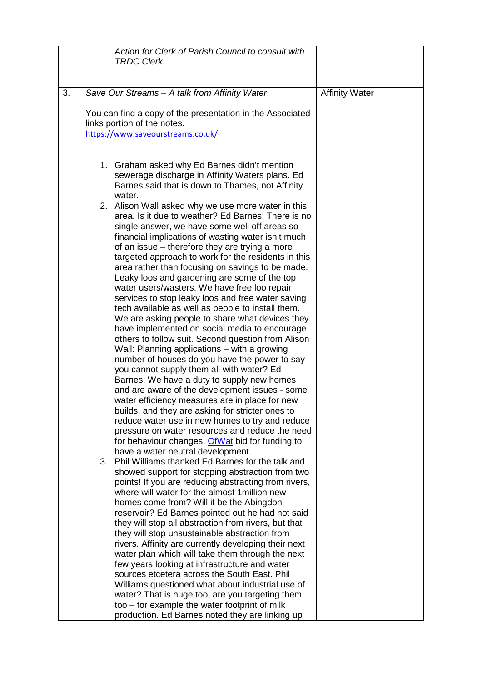|    | Action for Clerk of Parish Council to consult with<br><b>TRDC Clerk.</b>                                                                                                                                                                                                                                                                                                                                                                                                                                                                                                                                                                                                                                                                                                                                                                                                                                                                                                                                                                                                                                                                                                                                                                                                                                                                                                                                                                                                                                                                                                                                                                                                                                                                                                                                                                                                                                                                                                                                                                                                                                                                                                                                                                                               |                       |
|----|------------------------------------------------------------------------------------------------------------------------------------------------------------------------------------------------------------------------------------------------------------------------------------------------------------------------------------------------------------------------------------------------------------------------------------------------------------------------------------------------------------------------------------------------------------------------------------------------------------------------------------------------------------------------------------------------------------------------------------------------------------------------------------------------------------------------------------------------------------------------------------------------------------------------------------------------------------------------------------------------------------------------------------------------------------------------------------------------------------------------------------------------------------------------------------------------------------------------------------------------------------------------------------------------------------------------------------------------------------------------------------------------------------------------------------------------------------------------------------------------------------------------------------------------------------------------------------------------------------------------------------------------------------------------------------------------------------------------------------------------------------------------------------------------------------------------------------------------------------------------------------------------------------------------------------------------------------------------------------------------------------------------------------------------------------------------------------------------------------------------------------------------------------------------------------------------------------------------------------------------------------------------|-----------------------|
|    |                                                                                                                                                                                                                                                                                                                                                                                                                                                                                                                                                                                                                                                                                                                                                                                                                                                                                                                                                                                                                                                                                                                                                                                                                                                                                                                                                                                                                                                                                                                                                                                                                                                                                                                                                                                                                                                                                                                                                                                                                                                                                                                                                                                                                                                                        |                       |
| 3. | Save Our Streams - A talk from Affinity Water                                                                                                                                                                                                                                                                                                                                                                                                                                                                                                                                                                                                                                                                                                                                                                                                                                                                                                                                                                                                                                                                                                                                                                                                                                                                                                                                                                                                                                                                                                                                                                                                                                                                                                                                                                                                                                                                                                                                                                                                                                                                                                                                                                                                                          | <b>Affinity Water</b> |
|    | You can find a copy of the presentation in the Associated<br>links portion of the notes.<br>https://www.saveourstreams.co.uk/                                                                                                                                                                                                                                                                                                                                                                                                                                                                                                                                                                                                                                                                                                                                                                                                                                                                                                                                                                                                                                                                                                                                                                                                                                                                                                                                                                                                                                                                                                                                                                                                                                                                                                                                                                                                                                                                                                                                                                                                                                                                                                                                          |                       |
|    | 1. Graham asked why Ed Barnes didn't mention<br>sewerage discharge in Affinity Waters plans. Ed<br>Barnes said that is down to Thames, not Affinity<br>water.<br>2. Alison Wall asked why we use more water in this<br>area. Is it due to weather? Ed Barnes: There is no<br>single answer, we have some well off areas so<br>financial implications of wasting water isn't much<br>of an issue – therefore they are trying a more<br>targeted approach to work for the residents in this<br>area rather than focusing on savings to be made.<br>Leaky loos and gardening are some of the top<br>water users/wasters. We have free loo repair<br>services to stop leaky loos and free water saving<br>tech available as well as people to install them.<br>We are asking people to share what devices they<br>have implemented on social media to encourage<br>others to follow suit. Second question from Alison<br>Wall: Planning applications – with a growing<br>number of houses do you have the power to say<br>you cannot supply them all with water? Ed<br>Barnes: We have a duty to supply new homes<br>and are aware of the development issues - some<br>water efficiency measures are in place for new<br>builds, and they are asking for stricter ones to<br>reduce water use in new homes to try and reduce<br>pressure on water resources and reduce the need<br>for behaviour changes. Of Wat bid for funding to<br>have a water neutral development.<br>3. Phil Williams thanked Ed Barnes for the talk and<br>showed support for stopping abstraction from two<br>points! If you are reducing abstracting from rivers,<br>where will water for the almost 1 million new<br>homes come from? Will it be the Abingdon<br>reservoir? Ed Barnes pointed out he had not said<br>they will stop all abstraction from rivers, but that<br>they will stop unsustainable abstraction from<br>rivers. Affinity are currently developing their next<br>water plan which will take them through the next<br>few years looking at infrastructure and water<br>sources etcetera across the South East. Phil<br>Williams questioned what about industrial use of<br>water? That is huge too, are you targeting them<br>too – for example the water footprint of milk |                       |
|    | production. Ed Barnes noted they are linking up                                                                                                                                                                                                                                                                                                                                                                                                                                                                                                                                                                                                                                                                                                                                                                                                                                                                                                                                                                                                                                                                                                                                                                                                                                                                                                                                                                                                                                                                                                                                                                                                                                                                                                                                                                                                                                                                                                                                                                                                                                                                                                                                                                                                                        |                       |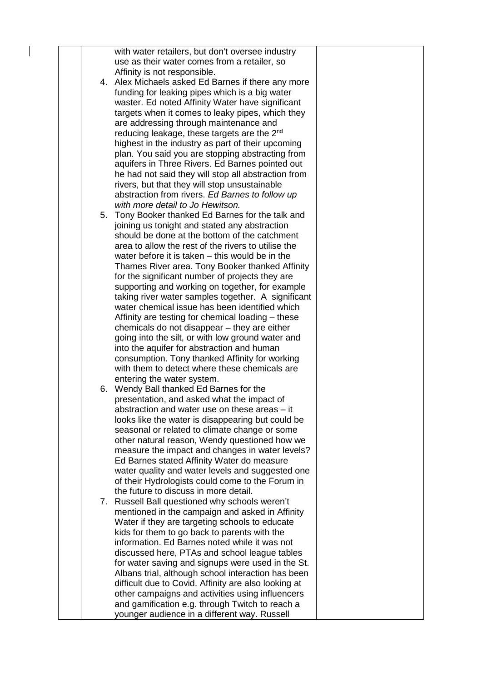|  | with water retailers, but don't oversee industry        |  |
|--|---------------------------------------------------------|--|
|  | use as their water comes from a retailer, so            |  |
|  | Affinity is not responsible.                            |  |
|  | 4. Alex Michaels asked Ed Barnes if there any more      |  |
|  | funding for leaking pipes which is a big water          |  |
|  | waster. Ed noted Affinity Water have significant        |  |
|  |                                                         |  |
|  | targets when it comes to leaky pipes, which they        |  |
|  | are addressing through maintenance and                  |  |
|  | reducing leakage, these targets are the 2 <sup>nd</sup> |  |
|  | highest in the industry as part of their upcoming       |  |
|  | plan. You said you are stopping abstracting from        |  |
|  | aquifers in Three Rivers. Ed Barnes pointed out         |  |
|  | he had not said they will stop all abstraction from     |  |
|  | rivers, but that they will stop unsustainable           |  |
|  | abstraction from rivers. Ed Barnes to follow up         |  |
|  | with more detail to Jo Hewitson.                        |  |
|  |                                                         |  |
|  | 5. Tony Booker thanked Ed Barnes for the talk and       |  |
|  | joining us tonight and stated any abstraction           |  |
|  | should be done at the bottom of the catchment           |  |
|  | area to allow the rest of the rivers to utilise the     |  |
|  | water before it is taken - this would be in the         |  |
|  | Thames River area. Tony Booker thanked Affinity         |  |
|  | for the significant number of projects they are         |  |
|  | supporting and working on together, for example         |  |
|  | taking river water samples together. A significant      |  |
|  | water chemical issue has been identified which          |  |
|  | Affinity are testing for chemical loading – these       |  |
|  | chemicals do not disappear - they are either            |  |
|  | going into the silt, or with low ground water and       |  |
|  |                                                         |  |
|  | into the aquifer for abstraction and human              |  |
|  | consumption. Tony thanked Affinity for working          |  |
|  | with them to detect where these chemicals are           |  |
|  | entering the water system.                              |  |
|  | 6. Wendy Ball thanked Ed Barnes for the                 |  |
|  | presentation, and asked what the impact of              |  |
|  | abstraction and water use on these areas – it           |  |
|  | looks like the water is disappearing but could be       |  |
|  | seasonal or related to climate change or some           |  |
|  | other natural reason, Wendy questioned how we           |  |
|  | measure the impact and changes in water levels?         |  |
|  | Ed Barnes stated Affinity Water do measure              |  |
|  | water quality and water levels and suggested one        |  |
|  | of their Hydrologists could come to the Forum in        |  |
|  | the future to discuss in more detail.                   |  |
|  |                                                         |  |
|  | 7. Russell Ball questioned why schools weren't          |  |
|  | mentioned in the campaign and asked in Affinity         |  |
|  | Water if they are targeting schools to educate          |  |
|  | kids for them to go back to parents with the            |  |
|  | information. Ed Barnes noted while it was not           |  |
|  | discussed here, PTAs and school league tables           |  |
|  | for water saving and signups were used in the St.       |  |
|  | Albans trial, although school interaction has been      |  |
|  | difficult due to Covid. Affinity are also looking at    |  |
|  | other campaigns and activities using influencers        |  |
|  | and gamification e.g. through Twitch to reach a         |  |
|  |                                                         |  |
|  | younger audience in a different way. Russell            |  |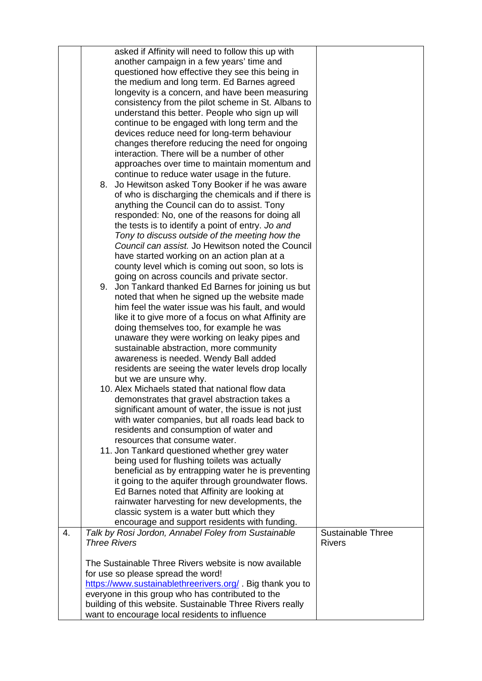|                  | asked if Affinity will need to follow this up with<br>another campaign in a few years' time and<br>questioned how effective they see this being in<br>the medium and long term. Ed Barnes agreed<br>longevity is a concern, and have been measuring<br>consistency from the pilot scheme in St. Albans to<br>understand this better. People who sign up will<br>continue to be engaged with long term and the<br>devices reduce need for long-term behaviour<br>changes therefore reducing the need for ongoing<br>interaction. There will be a number of other<br>approaches over time to maintain momentum and<br>continue to reduce water usage in the future.<br>8. Jo Hewitson asked Tony Booker if he was aware<br>of who is discharging the chemicals and if there is<br>anything the Council can do to assist. Tony<br>responded: No, one of the reasons for doing all<br>the tests is to identify a point of entry. Jo and<br>Tony to discuss outside of the meeting how the |                                           |
|------------------|---------------------------------------------------------------------------------------------------------------------------------------------------------------------------------------------------------------------------------------------------------------------------------------------------------------------------------------------------------------------------------------------------------------------------------------------------------------------------------------------------------------------------------------------------------------------------------------------------------------------------------------------------------------------------------------------------------------------------------------------------------------------------------------------------------------------------------------------------------------------------------------------------------------------------------------------------------------------------------------|-------------------------------------------|
|                  | Council can assist. Jo Hewitson noted the Council<br>have started working on an action plan at a<br>county level which is coming out soon, so lots is<br>going on across councils and private sector.<br>9. Jon Tankard thanked Ed Barnes for joining us but<br>noted that when he signed up the website made<br>him feel the water issue was his fault, and would<br>like it to give more of a focus on what Affinity are<br>doing themselves too, for example he was<br>unaware they were working on leaky pipes and                                                                                                                                                                                                                                                                                                                                                                                                                                                                |                                           |
|                  | sustainable abstraction, more community<br>awareness is needed. Wendy Ball added<br>residents are seeing the water levels drop locally<br>but we are unsure why.<br>10. Alex Michaels stated that national flow data<br>demonstrates that gravel abstraction takes a<br>significant amount of water, the issue is not just<br>with water companies, but all roads lead back to<br>residents and consumption of water and<br>resources that consume water.<br>11. Jon Tankard questioned whether grey water                                                                                                                                                                                                                                                                                                                                                                                                                                                                            |                                           |
|                  | being used for flushing toilets was actually<br>beneficial as by entrapping water he is preventing<br>it going to the aquifer through groundwater flows.<br>Ed Barnes noted that Affinity are looking at<br>rainwater harvesting for new developments, the<br>classic system is a water butt which they<br>encourage and support residents with funding.                                                                                                                                                                                                                                                                                                                                                                                                                                                                                                                                                                                                                              |                                           |
| $\overline{4}$ . | Talk by Rosi Jordon, Annabel Foley from Sustainable<br><b>Three Rivers</b>                                                                                                                                                                                                                                                                                                                                                                                                                                                                                                                                                                                                                                                                                                                                                                                                                                                                                                            | <b>Sustainable Three</b><br><b>Rivers</b> |
|                  | The Sustainable Three Rivers website is now available                                                                                                                                                                                                                                                                                                                                                                                                                                                                                                                                                                                                                                                                                                                                                                                                                                                                                                                                 |                                           |
|                  | for use so please spread the word!                                                                                                                                                                                                                                                                                                                                                                                                                                                                                                                                                                                                                                                                                                                                                                                                                                                                                                                                                    |                                           |
|                  | https://www.sustainablethreerivers.org/. Big thank you to<br>everyone in this group who has contributed to the                                                                                                                                                                                                                                                                                                                                                                                                                                                                                                                                                                                                                                                                                                                                                                                                                                                                        |                                           |
|                  | building of this website. Sustainable Three Rivers really                                                                                                                                                                                                                                                                                                                                                                                                                                                                                                                                                                                                                                                                                                                                                                                                                                                                                                                             |                                           |
|                  | want to encourage local residents to influence                                                                                                                                                                                                                                                                                                                                                                                                                                                                                                                                                                                                                                                                                                                                                                                                                                                                                                                                        |                                           |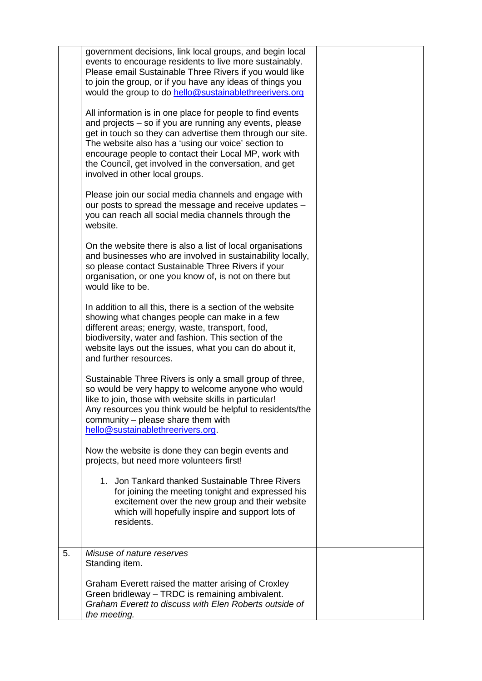|    | government decisions, link local groups, and begin local<br>events to encourage residents to live more sustainably.<br>Please email Sustainable Three Rivers if you would like<br>to join the group, or if you have any ideas of things you<br>would the group to do hello@sustainablethreerivers.org                                                                                          |  |
|----|------------------------------------------------------------------------------------------------------------------------------------------------------------------------------------------------------------------------------------------------------------------------------------------------------------------------------------------------------------------------------------------------|--|
|    | All information is in one place for people to find events<br>and projects – so if you are running any events, please<br>get in touch so they can advertise them through our site.<br>The website also has a 'using our voice' section to<br>encourage people to contact their Local MP, work with<br>the Council, get involved in the conversation, and get<br>involved in other local groups. |  |
|    | Please join our social media channels and engage with<br>our posts to spread the message and receive updates -<br>you can reach all social media channels through the<br>website.                                                                                                                                                                                                              |  |
|    | On the website there is also a list of local organisations<br>and businesses who are involved in sustainability locally,<br>so please contact Sustainable Three Rivers if your<br>organisation, or one you know of, is not on there but<br>would like to be.                                                                                                                                   |  |
|    | In addition to all this, there is a section of the website<br>showing what changes people can make in a few<br>different areas; energy, waste, transport, food,<br>biodiversity, water and fashion. This section of the<br>website lays out the issues, what you can do about it,<br>and further resources.                                                                                    |  |
|    | Sustainable Three Rivers is only a small group of three,<br>so would be very happy to welcome anyone who would<br>like to join, those with website skills in particular!<br>Any resources you think would be helpful to residents/the<br>community - please share them with<br>hello@sustainablethreerivers.org.                                                                               |  |
|    | Now the website is done they can begin events and<br>projects, but need more volunteers first!                                                                                                                                                                                                                                                                                                 |  |
|    | 1. Jon Tankard thanked Sustainable Three Rivers<br>for joining the meeting tonight and expressed his<br>excitement over the new group and their website<br>which will hopefully inspire and support lots of<br>residents.                                                                                                                                                                      |  |
| 5. | Misuse of nature reserves<br>Standing item.                                                                                                                                                                                                                                                                                                                                                    |  |
|    | Graham Everett raised the matter arising of Croxley<br>Green bridleway - TRDC is remaining ambivalent.<br>Graham Everett to discuss with Elen Roberts outside of<br>the meeting.                                                                                                                                                                                                               |  |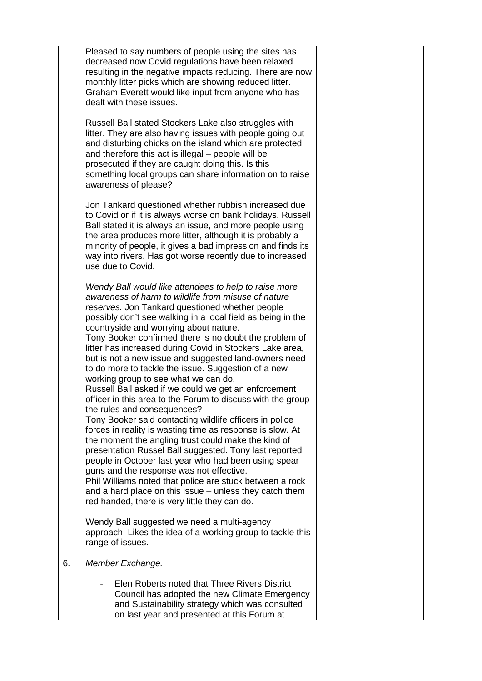|    | Pleased to say numbers of people using the sites has<br>decreased now Covid regulations have been relaxed<br>resulting in the negative impacts reducing. There are now<br>monthly litter picks which are showing reduced litter.<br>Graham Everett would like input from anyone who has<br>dealt with these issues.                                                                                                                                                                                                                                                                                                                                                                                                                                                                                                                                                                                                                                                                                                                                                                                                                                                                                                                                                              |  |
|----|----------------------------------------------------------------------------------------------------------------------------------------------------------------------------------------------------------------------------------------------------------------------------------------------------------------------------------------------------------------------------------------------------------------------------------------------------------------------------------------------------------------------------------------------------------------------------------------------------------------------------------------------------------------------------------------------------------------------------------------------------------------------------------------------------------------------------------------------------------------------------------------------------------------------------------------------------------------------------------------------------------------------------------------------------------------------------------------------------------------------------------------------------------------------------------------------------------------------------------------------------------------------------------|--|
|    | Russell Ball stated Stockers Lake also struggles with<br>litter. They are also having issues with people going out<br>and disturbing chicks on the island which are protected<br>and therefore this act is illegal – people will be<br>prosecuted if they are caught doing this. Is this<br>something local groups can share information on to raise<br>awareness of please?                                                                                                                                                                                                                                                                                                                                                                                                                                                                                                                                                                                                                                                                                                                                                                                                                                                                                                     |  |
|    | Jon Tankard questioned whether rubbish increased due<br>to Covid or if it is always worse on bank holidays. Russell<br>Ball stated it is always an issue, and more people using<br>the area produces more litter, although it is probably a<br>minority of people, it gives a bad impression and finds its<br>way into rivers. Has got worse recently due to increased<br>use due to Covid.                                                                                                                                                                                                                                                                                                                                                                                                                                                                                                                                                                                                                                                                                                                                                                                                                                                                                      |  |
|    | Wendy Ball would like attendees to help to raise more<br>awareness of harm to wildlife from misuse of nature<br>reserves. Jon Tankard questioned whether people<br>possibly don't see walking in a local field as being in the<br>countryside and worrying about nature.<br>Tony Booker confirmed there is no doubt the problem of<br>litter has increased during Covid in Stockers Lake area,<br>but is not a new issue and suggested land-owners need<br>to do more to tackle the issue. Suggestion of a new<br>working group to see what we can do.<br>Russell Ball asked if we could we get an enforcement<br>officer in this area to the Forum to discuss with the group<br>the rules and consequences?<br>Tony Booker said contacting wildlife officers in police<br>forces in reality is wasting time as response is slow. At<br>the moment the angling trust could make the kind of<br>presentation Russel Ball suggested. Tony last reported<br>people in October last year who had been using spear<br>guns and the response was not effective.<br>Phil Williams noted that police are stuck between a rock<br>and a hard place on this issue - unless they catch them<br>red handed, there is very little they can do.<br>Wendy Ball suggested we need a multi-agency |  |
|    | approach. Likes the idea of a working group to tackle this<br>range of issues.                                                                                                                                                                                                                                                                                                                                                                                                                                                                                                                                                                                                                                                                                                                                                                                                                                                                                                                                                                                                                                                                                                                                                                                                   |  |
| 6. | Member Exchange.                                                                                                                                                                                                                                                                                                                                                                                                                                                                                                                                                                                                                                                                                                                                                                                                                                                                                                                                                                                                                                                                                                                                                                                                                                                                 |  |
|    | Elen Roberts noted that Three Rivers District<br>Council has adopted the new Climate Emergency<br>and Sustainability strategy which was consulted<br>on last year and presented at this Forum at                                                                                                                                                                                                                                                                                                                                                                                                                                                                                                                                                                                                                                                                                                                                                                                                                                                                                                                                                                                                                                                                                 |  |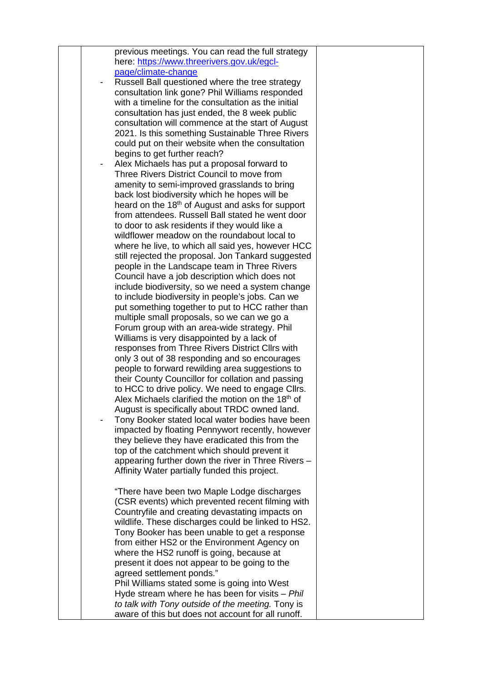|  | previous meetings. You can read the full strategy<br>here: https://www.threerivers.gov.uk/egcl-         |  |
|--|---------------------------------------------------------------------------------------------------------|--|
|  | page/climate-change                                                                                     |  |
|  | Russell Ball questioned where the tree strategy                                                         |  |
|  | consultation link gone? Phil Williams responded                                                         |  |
|  | with a timeline for the consultation as the initial                                                     |  |
|  | consultation has just ended, the 8 week public                                                          |  |
|  | consultation will commence at the start of August                                                       |  |
|  | 2021. Is this something Sustainable Three Rivers                                                        |  |
|  | could put on their website when the consultation<br>begins to get further reach?                        |  |
|  | Alex Michaels has put a proposal forward to                                                             |  |
|  | Three Rivers District Council to move from                                                              |  |
|  | amenity to semi-improved grasslands to bring                                                            |  |
|  | back lost biodiversity which he hopes will be                                                           |  |
|  | heard on the 18 <sup>th</sup> of August and asks for support                                            |  |
|  | from attendees. Russell Ball stated he went door                                                        |  |
|  | to door to ask residents if they would like a                                                           |  |
|  | wildflower meadow on the roundabout local to<br>where he live, to which all said yes, however HCC       |  |
|  | still rejected the proposal. Jon Tankard suggested                                                      |  |
|  | people in the Landscape team in Three Rivers                                                            |  |
|  | Council have a job description which does not                                                           |  |
|  | include biodiversity, so we need a system change                                                        |  |
|  | to include biodiversity in people's jobs. Can we                                                        |  |
|  | put something together to put to HCC rather than                                                        |  |
|  | multiple small proposals, so we can we go a                                                             |  |
|  | Forum group with an area-wide strategy. Phil<br>Williams is very disappointed by a lack of              |  |
|  | responses from Three Rivers District Cllrs with                                                         |  |
|  | only 3 out of 38 responding and so encourages                                                           |  |
|  | people to forward rewilding area suggestions to                                                         |  |
|  | their County Councillor for collation and passing                                                       |  |
|  | to HCC to drive policy. We need to engage Cllrs.                                                        |  |
|  | Alex Michaels clarified the motion on the 18th of                                                       |  |
|  | August is specifically about TRDC owned land.                                                           |  |
|  | Tony Booker stated local water bodies have been<br>impacted by floating Pennywort recently, however     |  |
|  | they believe they have eradicated this from the                                                         |  |
|  | top of the catchment which should prevent it                                                            |  |
|  | appearing further down the river in Three Rivers -                                                      |  |
|  | Affinity Water partially funded this project.                                                           |  |
|  |                                                                                                         |  |
|  | "There have been two Maple Lodge discharges                                                             |  |
|  | (CSR events) which prevented recent filming with<br>Countryfile and creating devastating impacts on     |  |
|  | wildlife. These discharges could be linked to HS2.                                                      |  |
|  | Tony Booker has been unable to get a response                                                           |  |
|  | from either HS2 or the Environment Agency on                                                            |  |
|  | where the HS2 runoff is going, because at                                                               |  |
|  | present it does not appear to be going to the                                                           |  |
|  | agreed settlement ponds."                                                                               |  |
|  | Phil Williams stated some is going into West                                                            |  |
|  | Hyde stream where he has been for visits - Phil                                                         |  |
|  | to talk with Tony outside of the meeting. Tony is<br>aware of this but does not account for all runoff. |  |
|  |                                                                                                         |  |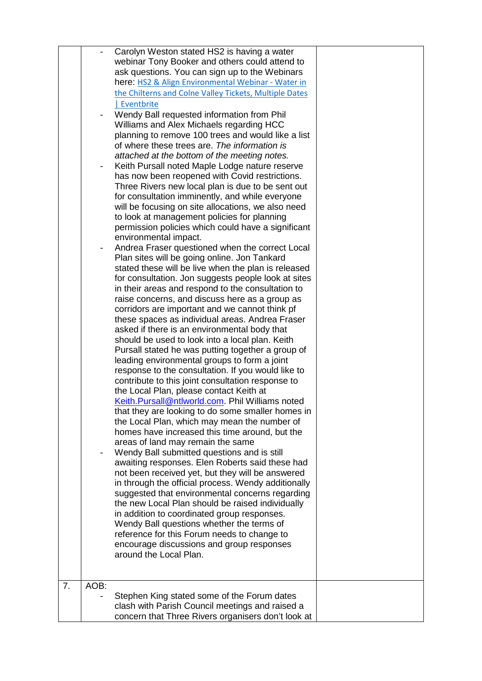|                |      | Carolyn Weston stated HS2 is having a water<br>webinar Tony Booker and others could attend to<br>ask questions. You can sign up to the Webinars<br>here: HS2 & Align Environmental Webinar - Water in<br>the Chilterns and Colne Valley Tickets, Multiple Dates<br>  Eventbrite<br>Wendy Ball requested information from Phil<br>Williams and Alex Michaels regarding HCC<br>planning to remove 100 trees and would like a list<br>of where these trees are. The information is<br>attached at the bottom of the meeting notes.<br>Keith Pursall noted Maple Lodge nature reserve<br>has now been reopened with Covid restrictions.<br>Three Rivers new local plan is due to be sent out<br>for consultation imminently, and while everyone<br>will be focusing on site allocations, we also need<br>to look at management policies for planning<br>permission policies which could have a significant<br>environmental impact.<br>Andrea Fraser questioned when the correct Local<br>Plan sites will be going online. Jon Tankard<br>stated these will be live when the plan is released<br>for consultation. Jon suggests people look at sites<br>in their areas and respond to the consultation to<br>raise concerns, and discuss here as a group as<br>corridors are important and we cannot think pf<br>these spaces as individual areas. Andrea Fraser<br>asked if there is an environmental body that<br>should be used to look into a local plan. Keith<br>Pursall stated he was putting together a group of<br>leading environmental groups to form a joint<br>response to the consultation. If you would like to<br>contribute to this joint consultation response to<br>the Local Plan, please contact Keith at<br>Keith.Pursall@ntlworld.com. Phil Williams noted<br>that they are looking to do some smaller homes in<br>the Local Plan, which may mean the number of<br>homes have increased this time around, but the<br>areas of land may remain the same<br>Wendy Ball submitted questions and is still |  |
|----------------|------|--------------------------------------------------------------------------------------------------------------------------------------------------------------------------------------------------------------------------------------------------------------------------------------------------------------------------------------------------------------------------------------------------------------------------------------------------------------------------------------------------------------------------------------------------------------------------------------------------------------------------------------------------------------------------------------------------------------------------------------------------------------------------------------------------------------------------------------------------------------------------------------------------------------------------------------------------------------------------------------------------------------------------------------------------------------------------------------------------------------------------------------------------------------------------------------------------------------------------------------------------------------------------------------------------------------------------------------------------------------------------------------------------------------------------------------------------------------------------------------------------------------------------------------------------------------------------------------------------------------------------------------------------------------------------------------------------------------------------------------------------------------------------------------------------------------------------------------------------------------------------------------------------------------------------------------------------------------------------------------------------------------------------|--|
|                |      | awaiting responses. Elen Roberts said these had<br>not been received yet, but they will be answered<br>in through the official process. Wendy additionally<br>suggested that environmental concerns regarding<br>the new Local Plan should be raised individually<br>in addition to coordinated group responses.<br>Wendy Ball questions whether the terms of<br>reference for this Forum needs to change to<br>encourage discussions and group responses<br>around the Local Plan.                                                                                                                                                                                                                                                                                                                                                                                                                                                                                                                                                                                                                                                                                                                                                                                                                                                                                                                                                                                                                                                                                                                                                                                                                                                                                                                                                                                                                                                                                                                                      |  |
| 7 <sub>1</sub> | AOB: |                                                                                                                                                                                                                                                                                                                                                                                                                                                                                                                                                                                                                                                                                                                                                                                                                                                                                                                                                                                                                                                                                                                                                                                                                                                                                                                                                                                                                                                                                                                                                                                                                                                                                                                                                                                                                                                                                                                                                                                                                          |  |
|                |      | Stephen King stated some of the Forum dates                                                                                                                                                                                                                                                                                                                                                                                                                                                                                                                                                                                                                                                                                                                                                                                                                                                                                                                                                                                                                                                                                                                                                                                                                                                                                                                                                                                                                                                                                                                                                                                                                                                                                                                                                                                                                                                                                                                                                                              |  |
|                |      | clash with Parish Council meetings and raised a<br>concern that Three Rivers organisers don't look at                                                                                                                                                                                                                                                                                                                                                                                                                                                                                                                                                                                                                                                                                                                                                                                                                                                                                                                                                                                                                                                                                                                                                                                                                                                                                                                                                                                                                                                                                                                                                                                                                                                                                                                                                                                                                                                                                                                    |  |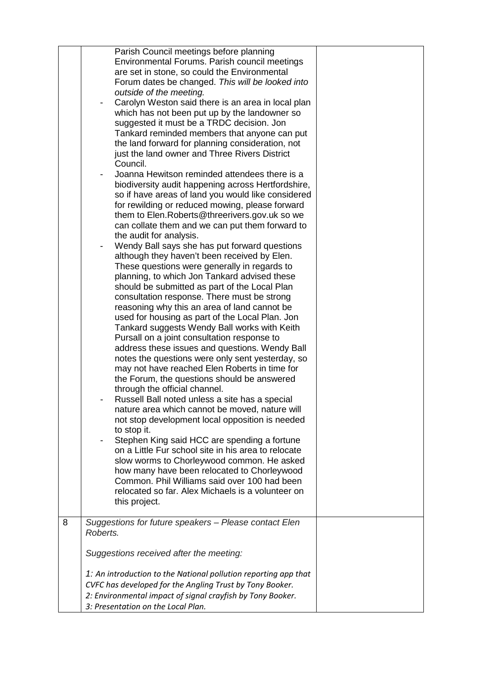|   | Parish Council meetings before planning<br>Environmental Forums. Parish council meetings<br>are set in stone, so could the Environmental<br>Forum dates be changed. This will be looked into<br>outside of the meeting.<br>Carolyn Weston said there is an area in local plan<br>$\overline{\phantom{a}}$<br>which has not been put up by the landowner so<br>suggested it must be a TRDC decision. Jon<br>Tankard reminded members that anyone can put<br>the land forward for planning consideration, not<br>just the land owner and Three Rivers District<br>Council.<br>Joanna Hewitson reminded attendees there is a<br>biodiversity audit happening across Hertfordshire,<br>so if have areas of land you would like considered<br>for rewilding or reduced mowing, please forward<br>them to Elen. Roberts@threerivers.gov.uk so we<br>can collate them and we can put them forward to<br>the audit for analysis.<br>Wendy Ball says she has put forward questions<br>although they haven't been received by Elen.<br>These questions were generally in regards to<br>planning, to which Jon Tankard advised these<br>should be submitted as part of the Local Plan<br>consultation response. There must be strong<br>reasoning why this an area of land cannot be<br>used for housing as part of the Local Plan. Jon<br>Tankard suggests Wendy Ball works with Keith<br>Pursall on a joint consultation response to<br>address these issues and questions. Wendy Ball<br>notes the questions were only sent yesterday, so<br>may not have reached Elen Roberts in time for<br>the Forum, the questions should be answered<br>through the official channel.<br>Russell Ball noted unless a site has a special<br>nature area which cannot be moved, nature will<br>not stop development local opposition is needed<br>to stop it.<br>Stephen King said HCC are spending a fortune<br>on a Little Fur school site in his area to relocate<br>slow worms to Chorleywood common. He asked<br>how many have been relocated to Chorleywood<br>Common. Phil Williams said over 100 had been<br>relocated so far. Alex Michaels is a volunteer on<br>this project. |  |
|---|--------------------------------------------------------------------------------------------------------------------------------------------------------------------------------------------------------------------------------------------------------------------------------------------------------------------------------------------------------------------------------------------------------------------------------------------------------------------------------------------------------------------------------------------------------------------------------------------------------------------------------------------------------------------------------------------------------------------------------------------------------------------------------------------------------------------------------------------------------------------------------------------------------------------------------------------------------------------------------------------------------------------------------------------------------------------------------------------------------------------------------------------------------------------------------------------------------------------------------------------------------------------------------------------------------------------------------------------------------------------------------------------------------------------------------------------------------------------------------------------------------------------------------------------------------------------------------------------------------------------------------------------------------------------------------------------------------------------------------------------------------------------------------------------------------------------------------------------------------------------------------------------------------------------------------------------------------------------------------------------------------------------------------------------------------------------------------------------------------------------------------------------------------------------|--|
| 8 | Suggestions for future speakers - Please contact Elen<br>Roberts.                                                                                                                                                                                                                                                                                                                                                                                                                                                                                                                                                                                                                                                                                                                                                                                                                                                                                                                                                                                                                                                                                                                                                                                                                                                                                                                                                                                                                                                                                                                                                                                                                                                                                                                                                                                                                                                                                                                                                                                                                                                                                                  |  |
|   |                                                                                                                                                                                                                                                                                                                                                                                                                                                                                                                                                                                                                                                                                                                                                                                                                                                                                                                                                                                                                                                                                                                                                                                                                                                                                                                                                                                                                                                                                                                                                                                                                                                                                                                                                                                                                                                                                                                                                                                                                                                                                                                                                                    |  |
|   | Suggestions received after the meeting:                                                                                                                                                                                                                                                                                                                                                                                                                                                                                                                                                                                                                                                                                                                                                                                                                                                                                                                                                                                                                                                                                                                                                                                                                                                                                                                                                                                                                                                                                                                                                                                                                                                                                                                                                                                                                                                                                                                                                                                                                                                                                                                            |  |
|   | 1: An introduction to the National pollution reporting app that<br>CVFC has developed for the Angling Trust by Tony Booker.                                                                                                                                                                                                                                                                                                                                                                                                                                                                                                                                                                                                                                                                                                                                                                                                                                                                                                                                                                                                                                                                                                                                                                                                                                                                                                                                                                                                                                                                                                                                                                                                                                                                                                                                                                                                                                                                                                                                                                                                                                        |  |
|   | 2: Environmental impact of signal crayfish by Tony Booker.                                                                                                                                                                                                                                                                                                                                                                                                                                                                                                                                                                                                                                                                                                                                                                                                                                                                                                                                                                                                                                                                                                                                                                                                                                                                                                                                                                                                                                                                                                                                                                                                                                                                                                                                                                                                                                                                                                                                                                                                                                                                                                         |  |
|   | 3: Presentation on the Local Plan.                                                                                                                                                                                                                                                                                                                                                                                                                                                                                                                                                                                                                                                                                                                                                                                                                                                                                                                                                                                                                                                                                                                                                                                                                                                                                                                                                                                                                                                                                                                                                                                                                                                                                                                                                                                                                                                                                                                                                                                                                                                                                                                                 |  |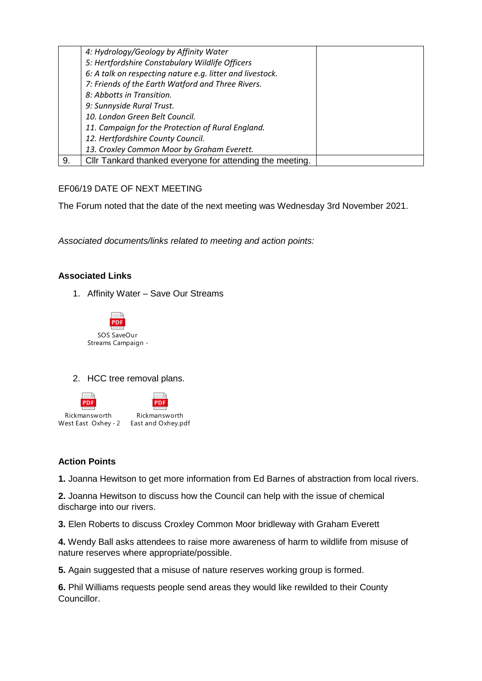|    | 4: Hydrology/Geology by Affinity Water                    |  |
|----|-----------------------------------------------------------|--|
|    | 5: Hertfordshire Constabulary Wildlife Officers           |  |
|    | 6: A talk on respecting nature e.g. litter and livestock. |  |
|    | 7: Friends of the Earth Watford and Three Rivers.         |  |
|    | 8: Abbotts in Transition.                                 |  |
|    | 9: Sunnyside Rural Trust.                                 |  |
|    | 10. London Green Belt Council.                            |  |
|    | 11. Campaign for the Protection of Rural England.         |  |
|    | 12. Hertfordshire County Council.                         |  |
|    | 13. Croxley Common Moor by Graham Everett.                |  |
| 9. | Cllr Tankard thanked everyone for attending the meeting.  |  |

## EF06/19 DATE OF NEXT MEETING

The Forum noted that the date of the next meeting was Wednesday 3rd November 2021.

*Associated documents/links related to meeting and action points:* 

## **Associated Links**

1. Affinity Water – Save Our Streams



2. HCC tree removal plans.



# **Action Points**

**1.** Joanna Hewitson to get more information from Ed Barnes of abstraction from local rivers.

**2.** Joanna Hewitson to discuss how the Council can help with the issue of chemical discharge into our rivers.

**3.** Elen Roberts to discuss Croxley Common Moor bridleway with Graham Everett

**4.** Wendy Ball asks attendees to raise more awareness of harm to wildlife from misuse of nature reserves where appropriate/possible.

**5.** Again suggested that a misuse of nature reserves working group is formed.

**6.** Phil Williams requests people send areas they would like rewilded to their County Councillor.